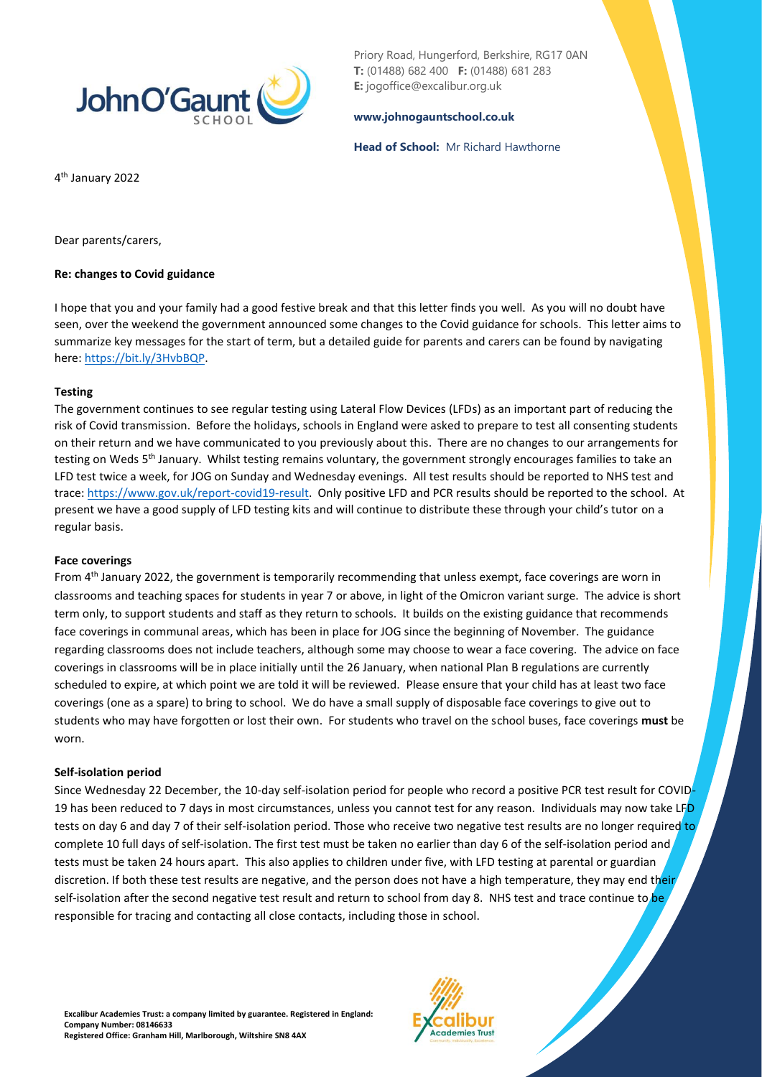

Priory Road, Hungerford, Berkshire, RG17 0AN **T:** (01488) 682 400 **F:** (01488) 681 283 **E:** jogoffice@excalibur.org.uk

### **[www.johnogauntschool.co.uk](http://www.johnogauntschool.co.uk/)**

### **Head of School:** Mr Richard Hawthorne

4 th January 2022

Dear parents/carers,

## **Re: changes to Covid guidance**

I hope that you and your family had a good festive break and that this letter finds you well. As you will no doubt have seen, over the weekend the government announced some changes to the Covid guidance for schools. This letter aims to summarize key messages for the start of term, but a detailed guide for parents and carers can be found by navigating here: [https://bit.ly/3HvbBQP.](https://bit.ly/3HvbBQP)

## **Testing**

The government continues to see regular testing using Lateral Flow Devices (LFDs) as an important part of reducing the risk of Covid transmission. Before the holidays, schools in England were asked to prepare to test all consenting students on their return and we have communicated to you previously about this. There are no changes to our arrangements for testing on Weds 5<sup>th</sup> January. Whilst testing remains voluntary, the government strongly encourages families to take an LFD test twice a week, for JOG on Sunday and Wednesday evenings. All test results should be reported to NHS test and trace[: https://www.gov.uk/report-covid19-result.](https://www.gov.uk/report-covid19-result) Only positive LFD and PCR results should be reported to the school. At present we have a good supply of LFD testing kits and will continue to distribute these through your child's tutor on a regular basis.

## **Face coverings**

From 4th January 2022, the government is temporarily recommending that unless exempt, face coverings are worn in classrooms and teaching spaces for students in year 7 or above, in light of the Omicron variant surge. The advice is short term only, to support students and staff as they return to schools. It builds on the existing guidance that recommends face coverings in communal areas, which has been in place for JOG since the beginning of November. The guidance regarding classrooms does not include teachers, although some may choose to wear a face covering. The advice on face coverings in classrooms will be in place initially until the 26 January, when national Plan B regulations are currently scheduled to expire, at which point we are told it will be reviewed. Please ensure that your child has at least two face coverings (one as a spare) to bring to school. We do have a small supply of disposable face coverings to give out to students who may have forgotten or lost their own. For students who travel on the school buses, face coverings **must** be worn.

#### **Self-isolation period**

Since Wednesday 22 December, the 10-day self-isolation period for people who record a positive PCR test result for COVID-19 has been reduced to 7 days in most circumstances, unless you cannot test for any reason. Individuals may now take LFD tests on day 6 and day 7 of their self-isolation period. Those who receive two negative test results are no longer required to complete 10 full days of self-isolation. The first test must be taken no earlier than day 6 of the self-isolation period and tests must be taken 24 hours apart. This also applies to children under five, with LFD testing at parental or guardian discretion. If both these test results are negative, and the person does not have a high temperature, they may end their self-isolation after the second negative test result and return to school from day 8. NHS test and trace continue to be responsible for tracing and contacting all close contacts, including those in school.